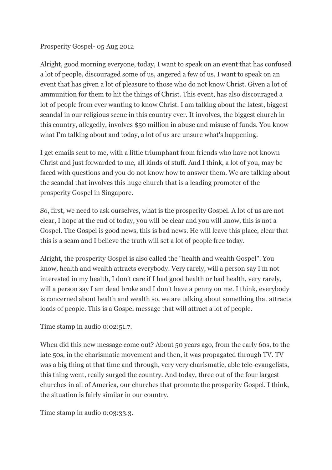#### Prosperity Gospel- 05 Aug 2012

Alright, good morning everyone, today, I want to speak on an event that has confused a lot of people, discouraged some of us, angered a few of us. I want to speak on an event that has given a lot of pleasure to those who do not know Christ. Given a lot of ammunition for them to hit the things of Christ. This event, has also discouraged a lot of people from ever wanting to know Christ. I am talking about the latest, biggest scandal in our religious scene in this country ever. It involves, the biggest church in this country, allegedly, involves \$50 million in abuse and misuse of funds. You know what I'm talking about and today, a lot of us are unsure what's happening.

I get emails sent to me, with a little triumphant from friends who have not known Christ and just forwarded to me, all kinds of stuff. And I think, a lot of you, may be faced with questions and you do not know how to answer them. We are talking about the scandal that involves this huge church that is a leading promoter of the prosperity Gospel in Singapore.

So, first, we need to ask ourselves, what is the prosperity Gospel. A lot of us are not clear, I hope at the end of today, you will be clear and you will know, this is not a Gospel. The Gospel is good news, this is bad news. He will leave this place, clear that this is a scam and I believe the truth will set a lot of people free today.

Alright, the prosperity Gospel is also called the "health and wealth Gospel". You know, health and wealth attracts everybody. Very rarely, will a person say I'm not interested in my health, I don't care if I had good health or bad health, very rarely, will a person say I am dead broke and I don't have a penny on me. I think, everybody is concerned about health and wealth so, we are talking about something that attracts loads of people. This is a Gospel message that will attract a lot of people.

Time stamp in audio 0:02:51.7.

When did this new message come out? About 50 years ago, from the early 60s, to the late 50s, in the charismatic movement and then, it was propagated through TV. TV was a big thing at that time and through, very very charismatic, able tele-evangelists, this thing went, really surged the country. And today, three out of the four largest churches in all of America, our churches that promote the prosperity Gospel. I think, the situation is fairly similar in our country.

Time stamp in audio 0:03:33.3.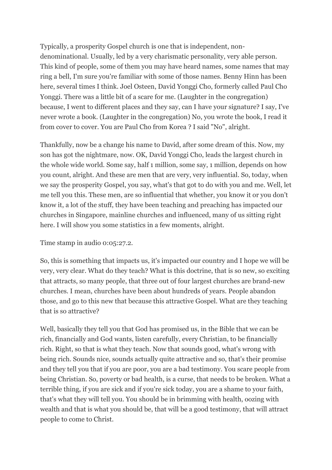Typically, a prosperity Gospel church is one that is independent, nondenominational. Usually, led by a very charismatic personality, very able person. This kind of people, some of them you may have heard names, some names that may ring a bell, I'm sure you're familiar with some of those names. Benny Hinn has been here, several times I think. Joel Osteen, David Yonggi Cho, formerly called Paul Cho Yonggi. There was a little bit of a scare for me. (Laughter in the congregation) because, I went to different places and they say, can I have your signature? I say, I've never wrote a book. (Laughter in the congregation) No, you wrote the book, I read it from cover to cover. You are Paul Cho from Korea ? I said "No", alright.

Thankfully, now be a change his name to David, after some dream of this. Now, my son has got the nightmare, now. OK, David Yonggi Cho, leads the largest church in the whole wide world. Some say, half 1 million, some say, 1 million, depends on how you count, alright. And these are men that are very, very influential. So, today, when we say the prosperity Gospel, you say, what's that got to do with you and me. Well, let me tell you this. These men, are so influential that whether, you know it or you don't know it, a lot of the stuff, they have been teaching and preaching has impacted our churches in Singapore, mainline churches and influenced, many of us sitting right here. I will show you some statistics in a few moments, alright.

Time stamp in audio 0:05:27.2.

So, this is something that impacts us, it's impacted our country and I hope we will be very, very clear. What do they teach? What is this doctrine, that is so new, so exciting that attracts, so many people, that three out of four largest churches are brand-new churches. I mean, churches have been about hundreds of years. People abandon those, and go to this new that because this attractive Gospel. What are they teaching that is so attractive?

Well, basically they tell you that God has promised us, in the Bible that we can be rich, financially and God wants, listen carefully, every Christian, to be financially rich. Right, so that is what they teach. Now that sounds good, what's wrong with being rich. Sounds nice, sounds actually quite attractive and so, that's their promise and they tell you that if you are poor, you are a bad testimony. You scare people from being Christian. So, poverty or bad health, is a curse, that needs to be broken. What a terrible thing, if you are sick and if you're sick today, you are a shame to your faith, that's what they will tell you. You should be in brimming with health, oozing with wealth and that is what you should be, that will be a good testimony, that will attract people to come to Christ.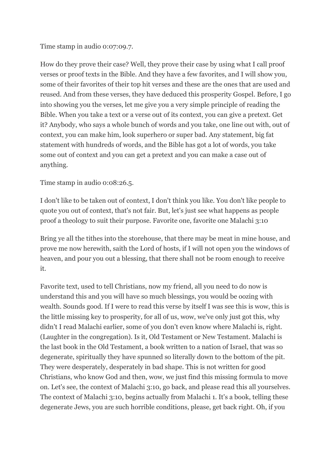### Time stamp in audio 0:07:09.7.

How do they prove their case? Well, they prove their case by using what I call proof verses or proof texts in the Bible. And they have a few favorites, and I will show you, some of their favorites of their top hit verses and these are the ones that are used and reused. And from these verses, they have deduced this prosperity Gospel. Before, I go into showing you the verses, let me give you a very simple principle of reading the Bible. When you take a text or a verse out of its context, you can give a pretext. Get it? Anybody, who says a whole bunch of words and you take, one line out with, out of context, you can make him, look superhero or super bad. Any statement, big fat statement with hundreds of words, and the Bible has got a lot of words, you take some out of context and you can get a pretext and you can make a case out of anything.

Time stamp in audio 0:08:26.5.

I don't like to be taken out of context, I don't think you like. You don't like people to quote you out of context, that's not fair. But, let's just see what happens as people proof a theology to suit their purpose. Favorite one, favorite one Malachi 3:10

Bring ye all the tithes into the storehouse, that there may be meat in mine house, and prove me now herewith, saith the Lord of hosts, if I will not open you the windows of heaven, and pour you out a blessing, that there shall not be room enough to receive it.

Favorite text, used to tell Christians, now my friend, all you need to do now is understand this and you will have so much blessings, you would be oozing with wealth. Sounds good. If I were to read this verse by itself I was see this is wow, this is the little missing key to prosperity, for all of us, wow, we've only just got this, why didn't I read Malachi earlier, some of you don't even know where Malachi is, right. (Laughter in the congregation). Is it, Old Testament or New Testament. Malachi is the last book in the Old Testament, a book written to a nation of Israel, that was so degenerate, spiritually they have spunned so literally down to the bottom of the pit. They were desperately, desperately in bad shape. This is not written for good Christians, who know God and then, wow, we just find this missing formula to move on. Let's see, the context of Malachi 3:10, go back, and please read this all yourselves. The context of Malachi 3:10, begins actually from Malachi 1. It's a book, telling these degenerate Jews, you are such horrible conditions, please, get back right. Oh, if you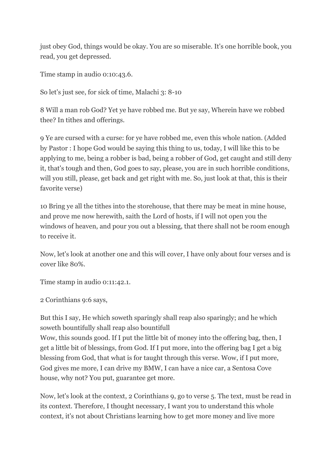just obey God, things would be okay. You are so miserable. It's one horrible book, you read, you get depressed.

Time stamp in audio 0:10:43.6.

So let's just see, for sick of time, Malachi 3: 8-10

8 Will a man rob God? Yet ye have robbed me. But ye say, Wherein have we robbed thee? In tithes and offerings.

9 Ye are cursed with a curse: for ye have robbed me, even this whole nation. (Added by Pastor : I hope God would be saying this thing to us, today, I will like this to be applying to me, being a robber is bad, being a robber of God, get caught and still deny it, that's tough and then, God goes to say, please, you are in such horrible conditions, will you still, please, get back and get right with me. So, just look at that, this is their favorite verse)

10 Bring ye all the tithes into the storehouse, that there may be meat in mine house, and prove me now herewith, saith the Lord of hosts, if I will not open you the windows of heaven, and pour you out a blessing, that there shall not be room enough to receive it.

Now, let's look at another one and this will cover, I have only about four verses and is cover like 80%.

Time stamp in audio 0:11:42.1.

2 Corinthians 9:6 says,

But this I say, He which soweth sparingly shall reap also sparingly; and he which soweth bountifully shall reap also bountifull

Wow, this sounds good. If I put the little bit of money into the offering bag, then, I get a little bit of blessings, from God. If I put more, into the offering bag I get a big blessing from God, that what is for taught through this verse. Wow, if I put more, God gives me more, I can drive my BMW, I can have a nice car, a Sentosa Cove house, why not? You put, guarantee get more.

Now, let's look at the context, 2 Corinthians 9, go to verse 5. The text, must be read in its context. Therefore, I thought necessary, I want you to understand this whole context, it's not about Christians learning how to get more money and live more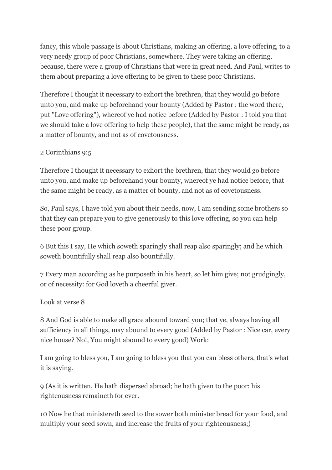fancy, this whole passage is about Christians, making an offering, a love offering, to a very needy group of poor Christians, somewhere. They were taking an offering, because, there were a group of Christians that were in great need. And Paul, writes to them about preparing a love offering to be given to these poor Christians.

Therefore I thought it necessary to exhort the brethren, that they would go before unto you, and make up beforehand your bounty (Added by Pastor : the word there, put "Love offering"), whereof ye had notice before (Added by Pastor : I told you that we should take a love offering to help these people), that the same might be ready, as a matter of bounty, and not as of covetousness.

# 2 Corinthians 9:5

Therefore I thought it necessary to exhort the brethren, that they would go before unto you, and make up beforehand your bounty, whereof ye had notice before, that the same might be ready, as a matter of bounty, and not as of covetousness.

So, Paul says, I have told you about their needs, now, I am sending some brothers so that they can prepare you to give generously to this love offering, so you can help these poor group.

6 But this I say, He which soweth sparingly shall reap also sparingly; and he which soweth bountifully shall reap also bountifully.

7 Every man according as he purposeth in his heart, so let him give; not grudgingly, or of necessity: for God loveth a cheerful giver.

#### Look at verse 8

8 And God is able to make all grace abound toward you; that ye, always having all sufficiency in all things, may abound to every good (Added by Pastor : Nice car, every nice house? No!, You might abound to every good) Work:

I am going to bless you, I am going to bless you that you can bless others, that's what it is saying.

9 (As it is written, He hath dispersed abroad; he hath given to the poor: his righteousness remaineth for ever.

10 Now he that ministereth seed to the sower both minister bread for your food, and multiply your seed sown, and increase the fruits of your righteousness;)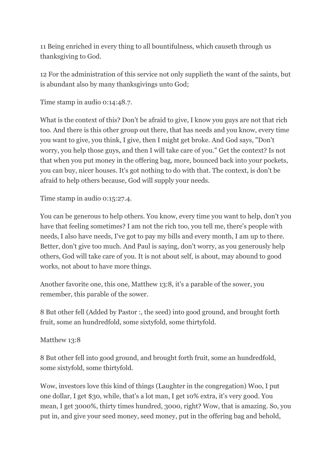11 Being enriched in every thing to all bountifulness, which causeth through us thanksgiving to God.

12 For the administration of this service not only supplieth the want of the saints, but is abundant also by many thanksgivings unto God;

Time stamp in audio 0:14:48.7.

What is the context of this? Don't be afraid to give, I know you guys are not that rich too. And there is this other group out there, that has needs and you know, every time you want to give, you think, I give, then I might get broke. And God says, "Don't worry, you help those guys, and then I will take care of you." Get the context? Is not that when you put money in the offering bag, more, bounced back into your pockets, you can buy, nicer houses. It's got nothing to do with that. The context, is don't be afraid to help others because, God will supply your needs.

Time stamp in audio 0:15:27.4.

You can be generous to help others. You know, every time you want to help, don't you have that feeling sometimes? I am not the rich too, you tell me, there's people with needs, I also have needs, I've got to pay my bills and every month, I am up to there. Better, don't give too much. And Paul is saying, don't worry, as you generously help others, God will take care of you. It is not about self, is about, may abound to good works, not about to have more things.

Another favorite one, this one, Matthew 13:8, it's a parable of the sower, you remember, this parable of the sower.

8 But other fell (Added by Pastor :, the seed) into good ground, and brought forth fruit, some an hundredfold, some sixtyfold, some thirtyfold.

Matthew 13:8

8 But other fell into good ground, and brought forth fruit, some an hundredfold, some sixtyfold, some thirtyfold.

Wow, investors love this kind of things (Laughter in the congregation) Woo, I put one dollar, I get \$30, while, that's a lot man, I get 10% extra, it's very good. You mean, I get 3000%, thirty times hundred, 3000, right? Wow, that is amazing. So, you put in, and give your seed money, seed money, put in the offering bag and behold,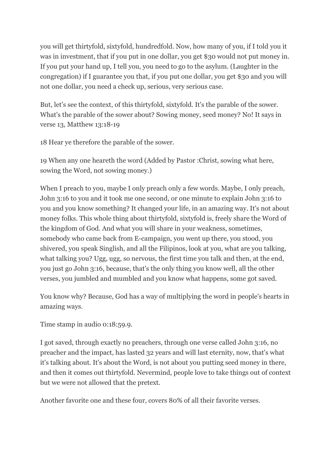you will get thirtyfold, sixtyfold, hundredfold. Now, how many of you, if I told you it was in investment, that if you put in one dollar, you get \$30 would not put money in. If you put your hand up, I tell you, you need to go to the asylum. (Laughter in the congregation) if I guarantee you that, if you put one dollar, you get \$30 and you will not one dollar, you need a check up, serious, very serious case.

But, let's see the context, of this thirtyfold, sixtyfold. It's the parable of the sower. What's the parable of the sower about? Sowing money, seed money? No! It says in verse 13, Matthew 13:18-19

18 Hear ye therefore the parable of the sower.

19 When any one heareth the word (Added by Pastor :Christ, sowing what here, sowing the Word, not sowing money.)

When I preach to you, maybe I only preach only a few words. Maybe, I only preach, John 3:16 to you and it took me one second, or one minute to explain John 3:16 to you and you know something? It changed your life, in an amazing way. It's not about money folks. This whole thing about thirtyfold, sixtyfold is, freely share the Word of the kingdom of God. And what you will share in your weakness, sometimes, somebody who came back from E-campaign, you went up there, you stood, you shivered, you speak Singlish, and all the Filipinos, look at you, what are you talking, what talking you? Ugg, ugg, so nervous, the first time you talk and then, at the end, you just go John 3:16, because, that's the only thing you know well, all the other verses, you jumbled and mumbled and you know what happens, some got saved.

You know why? Because, God has a way of multiplying the word in people's hearts in amazing ways.

Time stamp in audio 0:18:59.9.

I got saved, through exactly no preachers, through one verse called John 3:16, no preacher and the impact, has lasted 32 years and will last eternity, now, that's what it's talking about. It's about the Word, is not about you putting seed money in there, and then it comes out thirtyfold. Nevermind, people love to take things out of context but we were not allowed that the pretext.

Another favorite one and these four, covers 80% of all their favorite verses.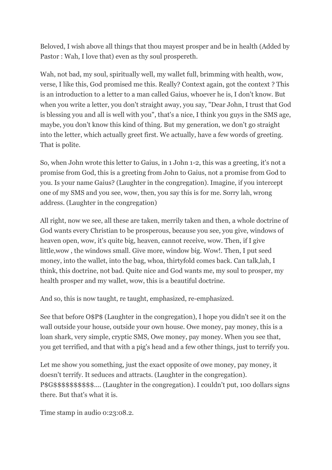Beloved, I wish above all things that thou mayest prosper and be in health (Added by Pastor : Wah, I love that) even as thy soul prospereth.

Wah, not bad, my soul, spiritually well, my wallet full, brimming with health, wow, verse, I like this, God promised me this. Really? Context again, got the context ? This is an introduction to a letter to a man called Gaius, whoever he is, I don't know. But when you write a letter, you don't straight away, you say, "Dear John, I trust that God is blessing you and all is well with you", that's a nice, I think you guys in the SMS age, maybe, you don't know this kind of thing. But my generation, we don't go straight into the letter, which actually greet first. We actually, have a few words of greeting. That is polite.

So, when John wrote this letter to Gaius, in 1 John 1-2, this was a greeting, it's not a promise from God, this is a greeting from John to Gaius, not a promise from God to you. Is your name Gaius? (Laughter in the congregation). Imagine, if you intercept one of my SMS and you see, wow, then, you say this is for me. Sorry lah, wrong address. (Laughter in the congregation)

All right, now we see, all these are taken, merrily taken and then, a whole doctrine of God wants every Christian to be prosperous, because you see, you give, windows of heaven open, wow, it's quite big, heaven, cannot receive, wow. Then, if I give little,wow , the windows small. Give more, window big. Wow!. Then, I put seed money, into the wallet, into the bag, whoa, thirtyfold comes back. Can talk,lah, I think, this doctrine, not bad. Quite nice and God wants me, my soul to prosper, my health prosper and my wallet, wow, this is a beautiful doctrine.

And so, this is now taught, re taught, emphasized, re-emphasized.

See that before O\$P\$ (Laughter in the congregation), I hope you didn't see it on the wall outside your house, outside your own house. Owe money, pay money, this is a loan shark, very simple, cryptic SMS, Owe money, pay money. When you see that, you get terrified, and that with a pig's head and a few other things, just to terrify you.

Let me show you something, just the exact opposite of owe money, pay money, it doesn't terrify. It seduces and attracts. (Laughter in the congregation). P\$G\$\$\$\$\$\$\$\$\$\$.... (Laughter in the congregation). I couldn't put, 100 dollars signs there. But that's what it is.

Time stamp in audio 0:23:08.2.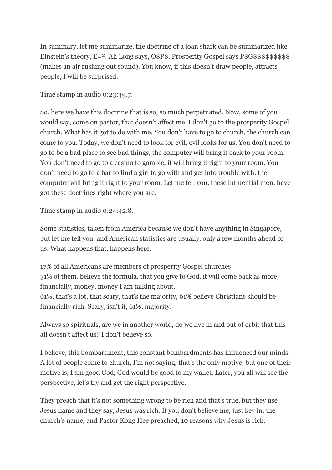In summary, let me summarize, the doctrine of a loan shark can be summarized like Einstein's theory, E=2. Ah Long says, O\$P\$. Prosperity Gospel says P\$G\$\$\$\$\$\$\$\$\$\$\$ (makes an air rushing out sound). You know, if this doesn't draw people, attracts people, I will be surprised.

Time stamp in audio 0:23:49.7.

So, here we have this doctrine that is so, so much perpetuated. Now, some of you would say, come on pastor, that doesn't affect me. I don't go to the prosperity Gospel church. What has it got to do with me. You don't have to go to church, the church can come to you. Today, we don't need to look for evil, evil looks for us. You don't need to go to be a bad place to see bad things, the computer will bring it back to your room. You don't need to go to a casino to gamble, it will bring it right to your room. You don't need to go to a bar to find a girl to go with and get into trouble with, the computer will bring it right to your room. Let me tell you, these influential men, have got these doctrines right where you are.

Time stamp in audio 0:24:42.8.

Some statistics, taken from America because we don't have anything in Singapore, but let me tell you, and American statistics are usually, only a few months ahead of us. What happens that, happens here.

17% of all Americans are members of prosperity Gospel churches 31% of them, believe the formula, that you give to God, it will come back as more, financially, money, money I am talking about. 61%, that's a lot, that scary, that's the majority, 61% believe Christians should be financially rich. Scary, isn't it, 61%, majority.

Always so spirituals, are we in another world, do we live in and out of orbit that this all doesn't affect us? I don't believe so.

I believe, this bombardment, this constant bombardments has influenced our minds. A lot of people come to church, I'm not saying, that's the only motive, but one of their motive is, I am good God, God would be good to my wallet. Later, you all will see the perspective, let's try and get the right perspective.

They preach that it's not something wrong to be rich and that's true, but they use Jesus name and they say, Jesus was rich. If you don't believe me, just key in, the church's name, and Pastor Kong Hee preached, 10 reasons why Jesus is rich.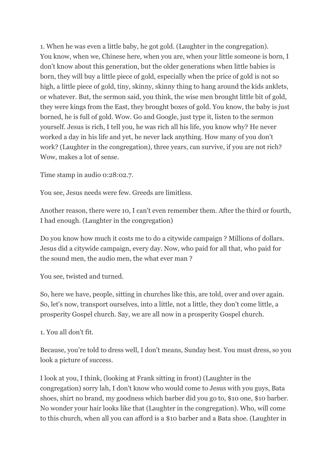1. When he was even a little baby, he got gold. (Laughter in the congregation). You know, when we, Chinese here, when you are, when your little someone is born, I don't know about this generation, but the older generations when little babies is born, they will buy a little piece of gold, especially when the price of gold is not so high, a little piece of gold, tiny, skinny, skinny thing to hang around the kids anklets, or whatever. But, the sermon said, you think, the wise men brought little bit of gold, they were kings from the East, they brought boxes of gold. You know, the baby is just borned, he is full of gold. Wow. Go and Google, just type it, listen to the sermon yourself. Jesus is rich, I tell you, he was rich all his life, you know why? He never worked a day in his life and yet, he never lack anything. How many of you don't work? (Laughter in the congregation), three years, can survive, if you are not rich? Wow, makes a lot of sense.

Time stamp in audio 0:28:02.7.

You see, Jesus needs were few. Greeds are limitless.

Another reason, there were 10, I can't even remember them. After the third or fourth, I had enough. (Laughter in the congregation)

Do you know how much it costs me to do a citywide campaign ? Millions of dollars. Jesus did a citywide campaign, every day. Now, who paid for all that, who paid for the sound men, the audio men, the what ever man ?

You see, twisted and turned.

So, here we have, people, sitting in churches like this, are told, over and over again. So, let's now, transport ourselves, into a little, not a little, they don't come little, a prosperity Gospel church. Say, we are all now in a prosperity Gospel church.

1. You all don't fit.

Because, you're told to dress well, I don't means, Sunday best. You must dress, so you look a picture of success.

I look at you, I think, (looking at Frank sitting in front) (Laughter in the congregation) sorry lah, I don't know who would come to Jesus with you guys, Bata shoes, shirt no brand, my goodness which barber did you go to, \$10 one, \$10 barber. No wonder your hair looks like that (Laughter in the congregation). Who, will come to this church, when all you can afford is a \$10 barber and a Bata shoe. (Laughter in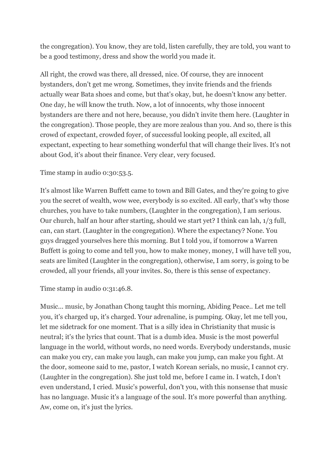the congregation). You know, they are told, listen carefully, they are told, you want to be a good testimony, dress and show the world you made it.

All right, the crowd was there, all dressed, nice. Of course, they are innocent bystanders, don't get me wrong. Sometimes, they invite friends and the friends actually wear Bata shoes and come, but that's okay, but, he doesn't know any better. One day, he will know the truth. Now, a lot of innocents, why those innocent bystanders are there and not here, because, you didn't invite them here. (Laughter in the congregation). Those people, they are more zealous than you. And so, there is this crowd of expectant, crowded foyer, of successful looking people, all excited, all expectant, expecting to hear something wonderful that will change their lives. It's not about God, it's about their finance. Very clear, very focused.

Time stamp in audio 0:30:53.5.

It's almost like Warren Buffett came to town and Bill Gates, and they're going to give you the secret of wealth, wow wee, everybody is so excited. All early, that's why those churches, you have to take numbers, (Laughter in the congregation), I am serious. Our church, half an hour after starting, should we start yet? I think can lah, 1/3 full, can, can start. (Laughter in the congregation). Where the expectancy? None. You guys dragged yourselves here this morning. But I told you, if tomorrow a Warren Buffett is going to come and tell you, how to make money, money, I will have tell you, seats are limited (Laughter in the congregation), otherwise, I am sorry, is going to be crowded, all your friends, all your invites. So, there is this sense of expectancy.

Time stamp in audio 0:31:46.8.

Music... music, by Jonathan Chong taught this morning, Abiding Peace.. Let me tell you, it's charged up, it's charged. Your adrenaline, is pumping. Okay, let me tell you, let me sidetrack for one moment. That is a silly idea in Christianity that music is neutral; it's the lyrics that count. That is a dumb idea. Music is the most powerful language in the world, without words, no need words. Everybody understands, music can make you cry, can make you laugh, can make you jump, can make you fight. At the door, someone said to me, pastor, I watch Korean serials, no music, I cannot cry. (Laughter in the congregation). She just told me, before I came in. I watch, I don't even understand, I cried. Music's powerful, don't you, with this nonsense that music has no language. Music it's a language of the soul. It's more powerful than anything. Aw, come on, it's just the lyrics.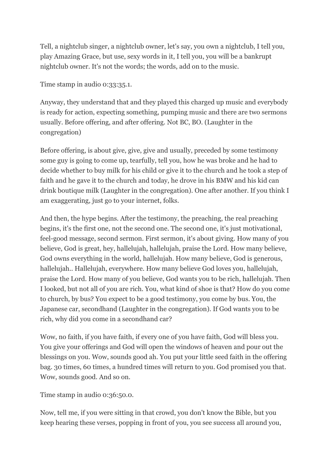Tell, a nightclub singer, a nightclub owner, let's say, you own a nightclub, I tell you, play Amazing Grace, but use, sexy words in it, I tell you, you will be a bankrupt nightclub owner. It's not the words; the words, add on to the music.

Time stamp in audio 0:33:35.1.

Anyway, they understand that and they played this charged up music and everybody is ready for action, expecting something, pumping music and there are two sermons usually. Before offering, and after offering. Not BC, BO. (Laughter in the congregation)

Before offering, is about give, give, give and usually, preceded by some testimony some guy is going to come up, tearfully, tell you, how he was broke and he had to decide whether to buy milk for his child or give it to the church and he took a step of faith and he gave it to the church and today, he drove in his BMW and his kid can drink boutique milk (Laughter in the congregation). One after another. If you think I am exaggerating, just go to your internet, folks.

And then, the hype begins. After the testimony, the preaching, the real preaching begins, it's the first one, not the second one. The second one, it's just motivational, feel-good message, second sermon. First sermon, it's about giving. How many of you believe, God is great, hey, hallelujah, hallelujah, praise the Lord. How many believe, God owns everything in the world, hallelujah. How many believe, God is generous, hallelujah.. Hallelujah, everywhere. How many believe God loves you, hallelujah, praise the Lord. How many of you believe, God wants you to be rich, hallelujah. Then I looked, but not all of you are rich. You, what kind of shoe is that? How do you come to church, by bus? You expect to be a good testimony, you come by bus. You, the Japanese car, secondhand (Laughter in the congregation). If God wants you to be rich, why did you come in a secondhand car?

Wow, no faith, if you have faith, if every one of you have faith, God will bless you. You give your offerings and God will open the windows of heaven and pour out the blessings on you. Wow, sounds good ah. You put your little seed faith in the offering bag. 30 times, 60 times, a hundred times will return to you. God promised you that. Wow, sounds good. And so on.

Time stamp in audio 0:36:50.0.

Now, tell me, if you were sitting in that crowd, you don't know the Bible, but you keep hearing these verses, popping in front of you, you see success all around you,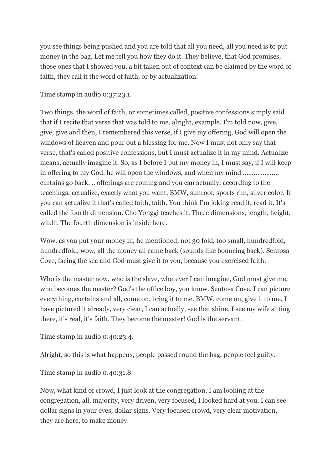you see things being pushed and you are told that all you need, all you need is to put money in the bag. Let me tell you how they do it. They believe, that God promises, those ones that I showed you, a bit taken out of context can be claimed by the word of faith, they call it the word of faith, or by actualization.

Time stamp in audio 0:37:23.1.

Two things, the word of faith, or sometimes called, positive confessions simply said that if I recite that verse that was told to me, alright, example, I'm told now, give, give, give and then, I remembered this verse, if I give my offering, God will open the windows of heaven and pour out a blessing for me. Now I must not only say that verse, that's called positive confessions, but I must actualize it in my mind. Actualize means, actually imagine it. So, as I before I put my money in, I must say, if I will keep in offering to my God, he will open the windows, and when my mind .................... curtains go back, .. offerings are coming and you can actually, according to the teachings, actualize, exactly what you want, BMW, sunroof, sports rim, silver color. If you can actualize it that's called faith, faith. You think I'm joking read it, read it. It's called the fourth dimension. Cho Yonggi teaches it. Three dimensions, length, height, witdh. The fourth dimension is inside here.

Wow, as you put your money in, he mentioned, not 30 fold, too small, hundredfold, hundredfold, wow, all the money all came back (sounds like bouncing back). Sentosa Cove, facing the sea and God must give it to you, because you exercised faith.

Who is the master now, who is the slave, whatever I can imagine, God must give me, who becomes the master? God's the office boy, you know. Sentosa Cove, I can picture everything, curtains and all, come on, bring it to me. BMW, come on, give it to me, I have pictured it already, very clear, I can actually, see that shine, I see my wife sitting there, it's real, it's faith. They become the master! God is the servant.

Time stamp in audio 0:40:23.4.

Alright, so this is what happens, people passed round the bag, people feel guilty.

Time stamp in audio 0:40:31.8.

Now, what kind of crowd, I just look at the congregation, I am looking at the congregation, all, majority, very driven, very focused, I looked hard at you, I can see dollar signs in your eyes, dollar signs. Very focused crowd, very clear motivation, they are here, to make money.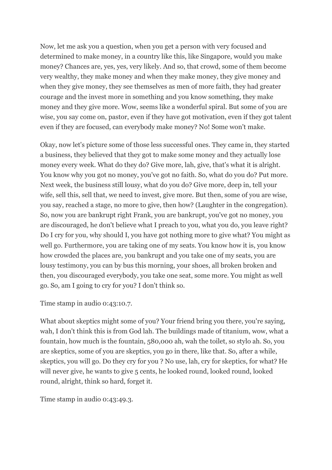Now, let me ask you a question, when you get a person with very focused and determined to make money, in a country like this, like Singapore, would you make money? Chances are, yes, yes, very likely. And so, that crowd, some of them become very wealthy, they make money and when they make money, they give money and when they give money, they see themselves as men of more faith, they had greater courage and the invest more in something and you know something, they make money and they give more. Wow, seems like a wonderful spiral. But some of you are wise, you say come on, pastor, even if they have got motivation, even if they got talent even if they are focused, can everybody make money? No! Some won't make.

Okay, now let's picture some of those less successful ones. They came in, they started a business, they believed that they got to make some money and they actually lose money every week. What do they do? Give more, lah, give, that's what it is alright. You know why you got no money, you've got no faith. So, what do you do? Put more. Next week, the business still lousy, what do you do? Give more, deep in, tell your wife, sell this, sell that, we need to invest, give more. But then, some of you are wise, you say, reached a stage, no more to give, then how? (Laughter in the congregation). So, now you are bankrupt right Frank, you are bankrupt, you've got no money, you are discouraged, he don't believe what I preach to you, what you do, you leave right? Do I cry for you, why should I, you have got nothing more to give what? You might as well go. Furthermore, you are taking one of my seats. You know how it is, you know how crowded the places are, you bankrupt and you take one of my seats, you are lousy testimony, you can by bus this morning, your shoes, all broken broken and then, you discouraged everybody, you take one seat, some more. You might as well go. So, am I going to cry for you? I don't think so.

Time stamp in audio 0:43:10.7.

What about skeptics might some of you? Your friend bring you there, you're saying, wah, I don't think this is from God lah. The buildings made of titanium, wow, what a fountain, how much is the fountain, 580,000 ah, wah the toilet, so stylo ah. So, you are skeptics, some of you are skeptics, you go in there, like that. So, after a while, skeptics, you will go. Do they cry for you ? No use, lah, cry for skeptics, for what? He will never give, he wants to give 5 cents, he looked round, looked round, looked round, alright, think so hard, forget it.

Time stamp in audio 0:43:49.3.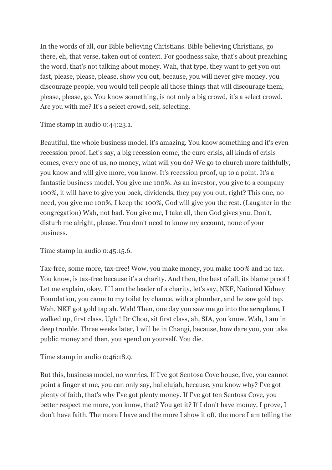In the words of all, our Bible believing Christians. Bible believing Christians, go there, eh, that verse, taken out of context. For goodness sake, that's about preaching the word, that's not talking about money. Wah, that type, they want to get you out fast, please, please, please, show you out, because, you will never give money, you discourage people, you would tell people all those things that will discourage them, please, please, go. You know something, is not only a big crowd, it's a select crowd. Are you with me? It's a select crowd, self, selecting.

Time stamp in audio 0:44:23.1.

Beautiful, the whole business model, it's amazing. You know something and it's even recession proof. Let's say, a big recession come, the euro crisis, all kinds of crisis comes, every one of us, no money, what will you do? We go to church more faithfully, you know and will give more, you know. It's recession proof, up to a point. It's a fantastic business model. You give me 100%. As an investor, you give to a company 100%, it will have to give you back, dividends, they pay you out, right? This one, no need, you give me 100%, I keep the 100%, God will give you the rest. (Laughter in the congregation) Wah, not bad. You give me, I take all, then God gives you. Don't, disturb me alright, please. You don't need to know my account, none of your business.

Time stamp in audio 0:45:15.6.

Tax-free, some more, tax-free! Wow, you make money, you make 100% and no tax. You know, is tax-free because it's a charity. And then, the best of all, its blame proof ! Let me explain, okay. If I am the leader of a charity, let's say, NKF, National Kidney Foundation, you came to my toilet by chance, with a plumber, and he saw gold tap. Wah, NKF got gold tap ah. Wah! Then, one day you saw me go into the aeroplane, I walked up, first class. Ugh ! Dr Choo, sit first class, ah, SIA, you know. Wah, I am in deep trouble. Three weeks later, I will be in Changi, because, how dare you, you take public money and then, you spend on yourself. You die.

Time stamp in audio 0:46:18.9.

But this, business model, no worries. If I've got Sentosa Cove house, five, you cannot point a finger at me, you can only say, hallelujah, because, you know why? I've got plenty of faith, that's why I've got plenty money. If I've got ten Sentosa Cove, you better respect me more, you know, that? You get it? If I don't have money, I prove, I don't have faith. The more I have and the more I show it off, the more I am telling the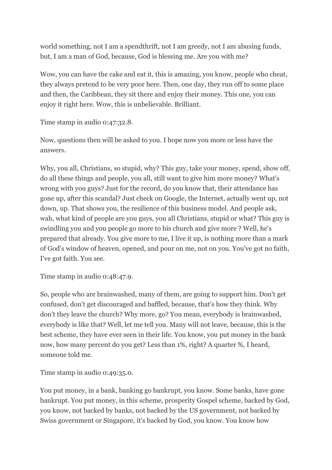world something, not I am a spendthrift, not I am greedy, not I am abusing funds, but, I am a man of God, because, God is blessing me. Are you with me?

Wow, you can have the cake and eat it, this is amazing, you know, people who cheat, they always pretend to be very poor here. Then, one day, they run off to some place and then, the Caribbean, they sit there and enjoy their money. This one, you can enjoy it right here. Wow, this is unbelievable. Brilliant.

Time stamp in audio 0:47:32.8.

Now, questions then will be asked to you. I hope now you more or less have the answers.

Why, you all, Christians, so stupid, why? This guy, take your money, spend, show off, do all these things and people, you all, still want to give him more money? What's wrong with you guys? Just for the record, do you know that, their attendance has gone up, after this scandal? Just check on Google, the Internet, actually went up, not down, up. That shows you, the resilience of this business model. And people ask, wah, what kind of people are you guys, you all Christians, stupid or what? This guy is swindling you and you people go more to his church and give more ? Well, he's prepared that already. You give more to me, I live it up, is nothing more than a mark of God's window of heaven, opened, and pour on me, not on you. You've got no faith, I've got faith. You see.

Time stamp in audio 0:48:47.9.

So, people who are brainwashed, many of them, are going to support him. Don't get confused, don't get discouraged and baffled, because, that's how they think. Why don't they leave the church? Why more, go? You mean, everybody is brainwashed, everybody is like that? Well, let me tell you. Many will not leave, because, this is the best scheme, they have ever seen in their life. You know, you put money in the bank now, how many percent do you get? Less than 1%, right? A quarter %, I heard, someone told me.

Time stamp in audio 0:49:35.0.

You put money, in a bank, banking go bankrupt, you know. Some banks, have gone bankrupt. You put money, in this scheme, prosperity Gospel scheme, backed by God, you know, not backed by banks, not backed by the US government, not backed by Swiss government or Singapore, it's backed by God, you know. You know how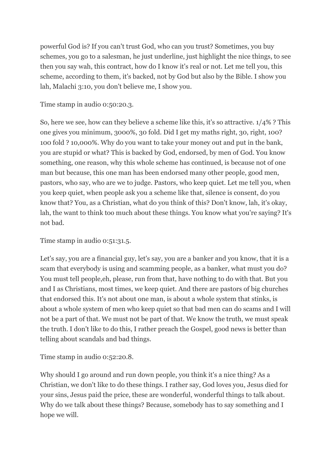powerful God is? If you can't trust God, who can you trust? Sometimes, you buy schemes, you go to a salesman, he just underline, just highlight the nice things, to see then you say wah, this contract, how do I know it's real or not. Let me tell you, this scheme, according to them, it's backed, not by God but also by the Bible. I show you lah, Malachi 3:10, you don't believe me, I show you.

Time stamp in audio 0:50:20.3.

So, here we see, how can they believe a scheme like this, it's so attractive. 1/4% ? This one gives you minimum, 3000%, 30 fold. Did I get my maths right, 30, right, 100? 100 fold ? 10,000%. Why do you want to take your money out and put in the bank, you are stupid or what? This is backed by God, endorsed, by men of God. You know something, one reason, why this whole scheme has continued, is because not of one man but because, this one man has been endorsed many other people, good men, pastors, who say, who are we to judge. Pastors, who keep quiet. Let me tell you, when you keep quiet, when people ask you a scheme like that, silence is consent, do you know that? You, as a Christian, what do you think of this? Don't know, lah, it's okay, lah, the want to think too much about these things. You know what you're saying? It's not bad.

Time stamp in audio 0:51:31.5.

Let's say, you are a financial guy, let's say, you are a banker and you know, that it is a scam that everybody is using and scamming people, as a banker, what must you do? You must tell people,eh, please, run from that, have nothing to do with that. But you and I as Christians, most times, we keep quiet. And there are pastors of big churches that endorsed this. It's not about one man, is about a whole system that stinks, is about a whole system of men who keep quiet so that bad men can do scams and I will not be a part of that. We must not be part of that. We know the truth, we must speak the truth. I don't like to do this, I rather preach the Gospel, good news is better than telling about scandals and bad things.

Time stamp in audio 0:52:20.8.

Why should I go around and run down people, you think it's a nice thing? As a Christian, we don't like to do these things. I rather say, God loves you, Jesus died for your sins, Jesus paid the price, these are wonderful, wonderful things to talk about. Why do we talk about these things? Because, somebody has to say something and I hope we will.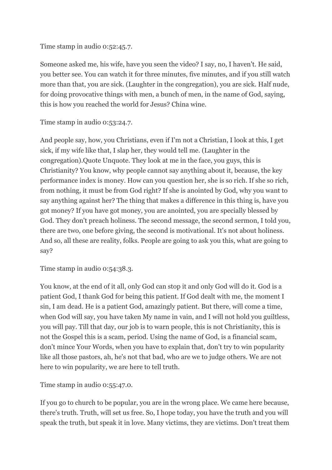Time stamp in audio 0:52:45.7.

Someone asked me, his wife, have you seen the video? I say, no, I haven't. He said, you better see. You can watch it for three minutes, five minutes, and if you still watch more than that, you are sick. (Laughter in the congregation), you are sick. Half nude, for doing provocative things with men, a bunch of men, in the name of God, saying, this is how you reached the world for Jesus? China wine.

Time stamp in audio 0:53:24.7.

And people say, how, you Christians, even if I'm not a Christian, I look at this, I get sick, if my wife like that, I slap her, they would tell me. (Laughter in the congregation).Quote Unquote. They look at me in the face, you guys, this is Christianity? You know, why people cannot say anything about it, because, the key performance index is money. How can you question her, she is so rich. If she so rich, from nothing, it must be from God right? If she is anointed by God, why you want to say anything against her? The thing that makes a difference in this thing is, have you got money? If you have got money, you are anointed, you are specially blessed by God. They don't preach holiness. The second message, the second sermon, I told you, there are two, one before giving, the second is motivational. It's not about holiness. And so, all these are reality, folks. People are going to ask you this, what are going to say?

Time stamp in audio 0:54:38.3.

You know, at the end of it all, only God can stop it and only God will do it. God is a patient God, I thank God for being this patient. If God dealt with me, the moment I sin, I am dead. He is a patient God, amazingly patient. But there, will come a time, when God will say, you have taken My name in vain, and I will not hold you guiltless, you will pay. Till that day, our job is to warn people, this is not Christianity, this is not the Gospel this is a scam, period. Using the name of God, is a financial scam, don't mince Your Words, when you have to explain that, don't try to win popularity like all those pastors, ah, he's not that bad, who are we to judge others. We are not here to win popularity, we are here to tell truth.

Time stamp in audio 0:55:47.0.

If you go to church to be popular, you are in the wrong place. We came here because, there's truth. Truth, will set us free. So, I hope today, you have the truth and you will speak the truth, but speak it in love. Many victims, they are victims. Don't treat them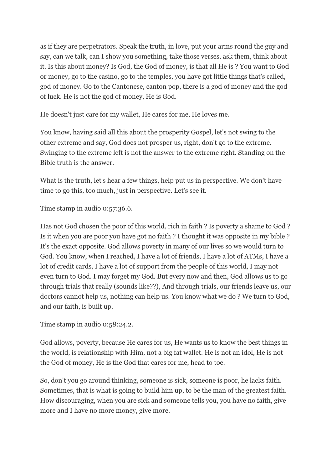as if they are perpetrators. Speak the truth, in love, put your arms round the guy and say, can we talk, can I show you something, take those verses, ask them, think about it. Is this about money? Is God, the God of money, is that all He is ? You want to God or money, go to the casino, go to the temples, you have got little things that's called, god of money. Go to the Cantonese, canton pop, there is a god of money and the god of luck. He is not the god of money, He is God.

He doesn't just care for my wallet, He cares for me, He loves me.

You know, having said all this about the prosperity Gospel, let's not swing to the other extreme and say, God does not prosper us, right, don't go to the extreme. Swinging to the extreme left is not the answer to the extreme right. Standing on the Bible truth is the answer.

What is the truth, let's hear a few things, help put us in perspective. We don't have time to go this, too much, just in perspective. Let's see it.

Time stamp in audio 0:57:36.6.

Has not God chosen the poor of this world, rich in faith ? Is poverty a shame to God ? Is it when you are poor you have got no faith ? I thought it was opposite in my bible ? It's the exact opposite. God allows poverty in many of our lives so we would turn to God. You know, when I reached, I have a lot of friends, I have a lot of ATMs, I have a lot of credit cards, I have a lot of support from the people of this world, I may not even turn to God. I may forget my God. But every now and then, God allows us to go through trials that really (sounds like??), And through trials, our friends leave us, our doctors cannot help us, nothing can help us. You know what we do ? We turn to God, and our faith, is built up.

Time stamp in audio 0:58:24.2.

God allows, poverty, because He cares for us, He wants us to know the best things in the world, is relationship with Him, not a big fat wallet. He is not an idol, He is not the God of money, He is the God that cares for me, head to toe.

So, don't you go around thinking, someone is sick, someone is poor, he lacks faith. Sometimes, that is what is going to build him up, to be the man of the greatest faith. How discouraging, when you are sick and someone tells you, you have no faith, give more and I have no more money, give more.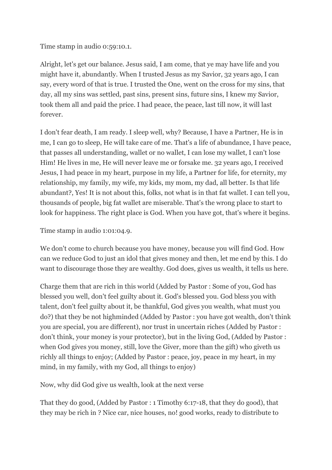Time stamp in audio 0:59:10.1.

Alright, let's get our balance. Jesus said, I am come, that ye may have life and you might have it, abundantly. When I trusted Jesus as my Savior, 32 years ago, I can say, every word of that is true. I trusted the One, went on the cross for my sins, that day, all my sins was settled, past sins, present sins, future sins, I knew my Savior, took them all and paid the price. I had peace, the peace, last till now, it will last forever.

I don't fear death, I am ready. I sleep well, why? Because, I have a Partner, He is in me, I can go to sleep, He will take care of me. That's a life of abundance, I have peace, that passes all understanding, wallet or no wallet, I can lose my wallet, I can't lose Him! He lives in me, He will never leave me or forsake me. 32 years ago, I received Jesus, I had peace in my heart, purpose in my life, a Partner for life, for eternity, my relationship, my family, my wife, my kids, my mom, my dad, all better. Is that life abundant?, Yes! It is not about this, folks, not what is in that fat wallet. I can tell you, thousands of people, big fat wallet are miserable. That's the wrong place to start to look for happiness. The right place is God. When you have got, that's where it begins.

Time stamp in audio 1:01:04.9.

We don't come to church because you have money, because you will find God. How can we reduce God to just an idol that gives money and then, let me end by this. I do want to discourage those they are wealthy. God does, gives us wealth, it tells us here.

Charge them that are rich in this world (Added by Pastor : Some of you, God has blessed you well, don't feel guilty about it. God's blessed you. God bless you with talent, don't feel guilty about it, be thankful, God gives you wealth, what must you do?) that they be not highminded (Added by Pastor : you have got wealth, don't think you are special, you are different), nor trust in uncertain riches (Added by Pastor : don't think, your money is your protector), but in the living God, (Added by Pastor : when God gives you money, still, love the Giver, more than the gift) who giveth us richly all things to enjoy; (Added by Pastor : peace, joy, peace in my heart, in my mind, in my family, with my God, all things to enjoy)

Now, why did God give us wealth, look at the next verse

That they do good, (Added by Pastor : 1 Timothy 6:17-18, that they do good), that they may be rich in ? Nice car, nice houses, no! good works, ready to distribute to